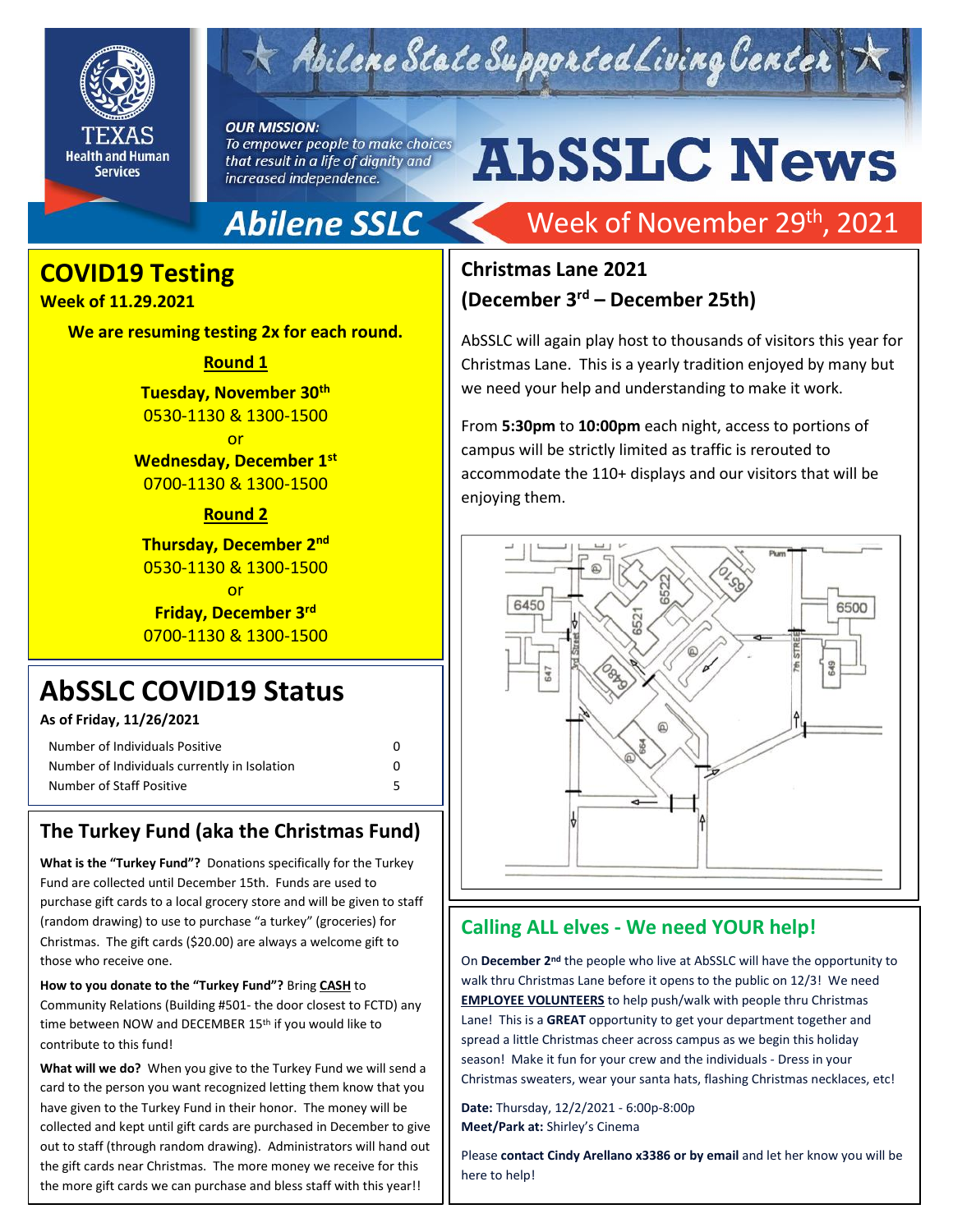

## $\times$  Abilene State Supported Living Center

**OUR MISSION:** 

To empower people to make choices that result in a life of dignity and increased independence.

# **AbSSLC News**

## **Abilene SSLC**

### **COVID19 Testing**

#### **Week of 11.29.2021**

**We are resuming testing 2x for each round.** 

#### **Round 1**

**Tuesday, November 30th** 0530-1130 & 1300-1500

or **Wednesday, December 1st** 0700-1130 & 1300-1500

#### **Round 2**

**Thursday, December 2nd** 0530-1130 & 1300-1500

or **Friday, December 3rd** 0700-1130 & 1300-1500

## **AbSSLC COVID19 Status**

#### **As of Friday, 11/26/2021**

| Number of Individuals Positive               |  |
|----------------------------------------------|--|
| Number of Individuals currently in Isolation |  |
| Number of Staff Positive                     |  |

#### **The Turkey Fund (aka the Christmas Fund)**

**What is the "Turkey Fund"?** Donations specifically for the Turkey Fund are collected until December 15th. Funds are used to purchase gift cards to a local grocery store and will be given to staff (random drawing) to use to purchase "a turkey" (groceries) for Christmas. The gift cards (\$20.00) are always a welcome gift to those who receive one.

#### **How to you donate to the "Turkey Fund"?** Bring **CASH** to

Community Relations (Building #501- the door closest to FCTD) any time between NOW and DECEMBER 15<sup>th</sup> if you would like to contribute to this fund!

**What will we do?** When you give to the Turkey Fund we will send a card to the person you want recognized letting them know that you have given to the Turkey Fund in their honor. The money will be collected and kept until gift cards are purchased in December to give out to staff (through random drawing). Administrators will hand out the gift cards near Christmas. The more money we receive for this the more gift cards we can purchase and bless staff with this year!!

## Week of November 29<sup>th</sup>, 2021

#### **Christmas Lane 2021 (December 3 rd – December 25th)**

AbSSLC will again play host to thousands of visitors this year for Christmas Lane. This is a yearly tradition enjoyed by many but we need your help and understanding to make it work.

From **5:30pm** to **10:00pm** each night, access to portions of campus will be strictly limited as traffic is rerouted to accommodate the 110+ displays and our visitors that will be enjoying them.



#### **Calling ALL elves - We need YOUR help!**

On **December 2nd** the people who live at AbSSLC will have the opportunity to walk thru Christmas Lane before it opens to the public on 12/3! We need **EMPLOYEE VOLUNTEERS** to help push/walk with people thru Christmas Lane! This is a **GREAT** opportunity to get your department together and spread a little Christmas cheer across campus as we begin this holiday season! Make it fun for your crew and the individuals - Dress in your Christmas sweaters, wear your santa hats, flashing Christmas necklaces, etc!

**Date:** Thursday, 12/2/2021 - 6:00p-8:00p **Meet/Park at:** Shirley's Cinema

Please **contact Cindy Arellano x3386 or by email** and let her know you will be here to help!